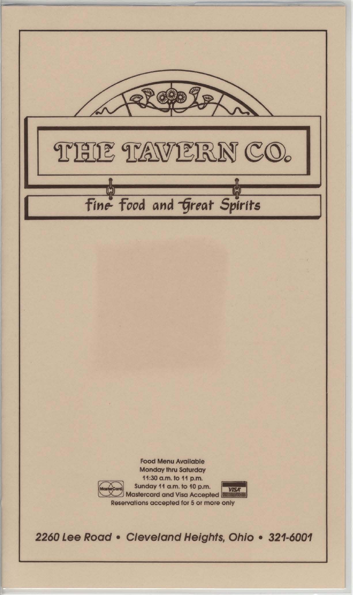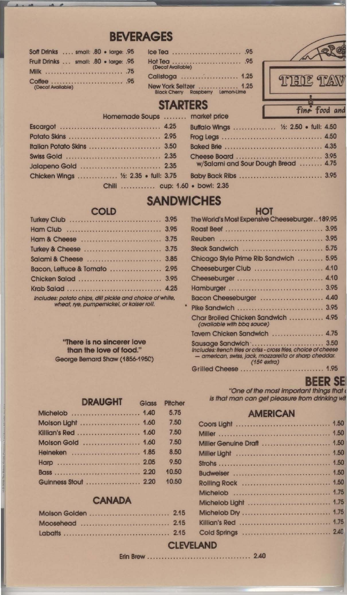# **BEVERAGES**

|                   | Soft Drinks  small: .80 . large: .95  |  |
|-------------------|---------------------------------------|--|
|                   | Fruit Drinks  small: .80 . large: .95 |  |
|                   | Milk  .75                             |  |
| (Decal Available) |                                       |  |

| (Decat Available)                                                  |  |
|--------------------------------------------------------------------|--|
| Calistoga  1.25                                                    |  |
| New York Seltzer  1.25<br><b>Black Cherry Raspberry Lemon-Lime</b> |  |



# **STARTERS**

| <b>Nothernage soups</b> Indiversions  |                                       |
|---------------------------------------|---------------------------------------|
|                                       | Buffalo Wings  1/2: 2.50 . full: 4.50 |
|                                       |                                       |
|                                       |                                       |
|                                       |                                       |
|                                       | w/Salami and Sour Dough Bread  4.75   |
| Chicken Wings  1/2: 2.35 . full: 3.75 |                                       |
|                                       |                                       |

# **SANDWICHES**

## **COLD**

| Bacon, Lettuce & Tomato  2.95                                                                         |  |
|-------------------------------------------------------------------------------------------------------|--|
|                                                                                                       |  |
|                                                                                                       |  |
| Includes: potato chips, dill pickle and choice of white,<br>wheat, iye, pumpernickel, or kaiser roll. |  |

"There is no sincerer love than the love of food." George Bernard Shaw (1856-1950)

| <u>Ine world's iviosi experisive Cheesepurger 199.93</u>                                                                                          |  |
|---------------------------------------------------------------------------------------------------------------------------------------------------|--|
|                                                                                                                                                   |  |
|                                                                                                                                                   |  |
| Steak Sandwich  5.75                                                                                                                              |  |
| Chicago Style Prime Rib Sandwich  5.95                                                                                                            |  |
| Cheeseburger Club  4.10                                                                                                                           |  |
| Cheeseburger  4.10                                                                                                                                |  |
|                                                                                                                                                   |  |
| Bacon Cheeseburger  4.40                                                                                                                          |  |
|                                                                                                                                                   |  |
| Char Broiled Chicken Sandwich  4.95<br>(available with bbg sauce)                                                                                 |  |
| Tavern Chicken Sandwich  4.75                                                                                                                     |  |
| Includes: french fries or criss - cross fries, choice of cheese<br>- american, swiss, jack, mozzarella or sharp cheddar.<br>$(15c \text{ extra})$ |  |
|                                                                                                                                                   |  |

HOT

# **BEER SE**

"One of the most important things that is that man can get pleasure from drinking wit

#### **AMERICAN**

#### **DRAUGHT Glass** Pitcher Michelob .......................... 1.40 5.75 Molson Light ....................... 1.60 7.50 Killian's Red ........................ 1.60 7.50 Molson Gold ..................... 1.60 7.50 Heineken ......................... 1.85 8.50 Harp ................................. 2.05 9.50 10.50 10.50 Guinness Stout .................... 2.20

#### **CANADA**

**CLEVELAND**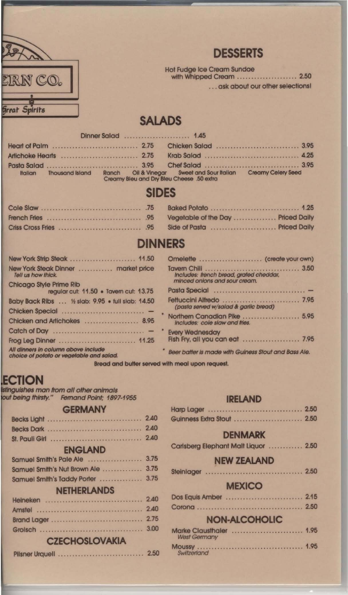

# **DESSERTS**

Hot Fudge Ice Cream Sundae with Whipped Cream ....................... 2.50

...ask about our other selections!

# **SALADS**

| <b>Italian</b> | Thousand Island Ranch Oil & Vinegar Sweet and Sour Italian Creamy Celery Seed |  |
|----------------|-------------------------------------------------------------------------------|--|
|                | Creamy Bleu and Dry Bleu Cheese .50 extra                                     |  |

# **SIDES**

# **DINNERS**

|                                                                                                                                                                                                                                | Omelette  (create your own)                                              |
|--------------------------------------------------------------------------------------------------------------------------------------------------------------------------------------------------------------------------------|--------------------------------------------------------------------------|
| New York Steak Dinner  market price<br>Tell us how thick.                                                                                                                                                                      | Includes: french bread, grated cheddar,<br>minced onions and sour cream. |
| Chicago Style Prime Rib                                                                                                                                                                                                        |                                                                          |
| regular cut: 11.50 . Tavern cut: 13.75                                                                                                                                                                                         |                                                                          |
| Baby Back Ribs  1/2 slab: 9.95 . full slab: 14.50                                                                                                                                                                              | (pasta served w/salad & garlic bread)                                    |
|                                                                                                                                                                                                                                | Northern Canadian Pike  5.95                                             |
| Chicken and Artichokes  8.95                                                                                                                                                                                                   | Includes: cole slaw and fries.                                           |
|                                                                                                                                                                                                                                | <b>Every Wednesday</b>                                                   |
| Frog Leg Dinner  11.25                                                                                                                                                                                                         | Fish Fry, all you can eat  7.95                                          |
| All dinners in column above include<br>choice of potato or vegetable and salad.                                                                                                                                                | Beer batter is made with Guiness Stout and Bass Ale.                     |
| the contract of the contract of the contract of the contract of the contract of the contract of the contract of the contract of the contract of the contract of the contract of the contract of the contract of the contract o |                                                                          |

Bread and butter served with meal upon request.

# **ECTION**

istinguishes man from all other animals out being thirsty." Fernand Point; 1897-1955

#### **GERMANY**

| <b>ENGLAND</b>               |      |
|------------------------------|------|
|                              |      |
| Samuel Smith's Nut Brown Ale | 3.75 |
| Samuel Smith's Taddy Porter  | 3.75 |
| <b>NETHERLANDS</b>           |      |
|                              | 2.40 |
|                              | 2.40 |
|                              | 2.75 |
|                              | 3.00 |
| <b>CZECHOSLOVAKIA</b>        |      |
|                              |      |

#### **IRELAND**

| Guinness Extra Stout  2.50 |  |  |  |  |  |  |  |  |
|----------------------------|--|--|--|--|--|--|--|--|

#### **DENMARK**

|  |  | Carlsberg Elephant Malt Liquor  2.50 |  |  |
|--|--|--------------------------------------|--|--|
|--|--|--------------------------------------|--|--|

## **NEW ZEALAND**

| <b>Steinlager</b> |  | 2.50 |
|-------------------|--|------|
|-------------------|--|------|

#### **MEXICO**

|  |  |  | 2.50 |
|--|--|--|------|

## **NON-ALCOHOLIC**

| <b>West Germany</b> | Marke Clausthaler  1.95 |  |
|---------------------|-------------------------|--|
| Switzerland         |                         |  |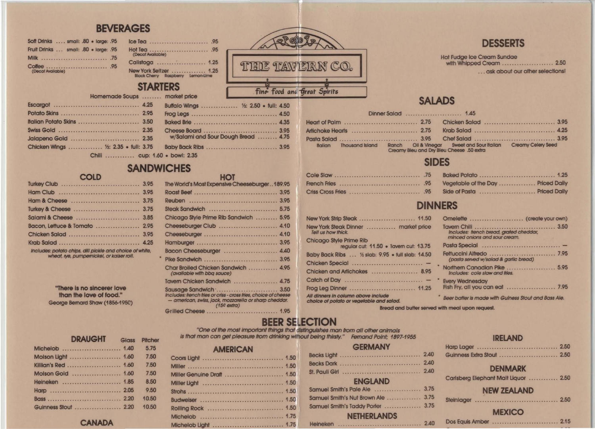# **BEVERAGES**

| Soft Drinks  small: .80 . large: .95  |  |
|---------------------------------------|--|
| Fruit Drinks  small: .80 . large: .95 |  |
|                                       |  |
| (Decal Available)                     |  |

## New York Seltzer<br>Black Cherry Raspberry Lemon-Lime **CTADTEDC**

Hot Tea<br>
(Decat Available)

Calistoga ....................... 1.25

| <b>VIANILNY</b> |  |                     |                                       | fine food a |
|-----------------|--|---------------------|---------------------------------------|-------------|
|                 |  | Soups  market price |                                       |             |
| . 4.25          |  |                     | Buffalo Wings  1/2: 2.50 . full: 4.50 |             |

| Chicken Wings  1/2: 2.35 . full: 3.75 |  |
|---------------------------------------|--|
| Chili cun 1.60                        |  |

Homemade

## · bowl: 2.35 **SANDWICHES**

#### HOT

w/Salami and Sour Dough Bread ........ 4.75

| Bacon, Lettuce & Tomato  2.95                                                                                                                                               |  |
|-----------------------------------------------------------------------------------------------------------------------------------------------------------------------------|--|
|                                                                                                                                                                             |  |
|                                                                                                                                                                             |  |
| Includes: potato chips, dill pickle and choice of white,<br>TO A REPORT OF MINIMUM IN THE VIOLENCE OF MINIMUM IN THE VIOLENCE AND RELEASED TO A REPORT OF THE VIOLENCE OF T |  |

COID

wheat, iye, pumpernickel, or kaiser roll.

"There is no sincerer love than the love of food." George Bernard Shaw (1856-1950)

| The World's Most Expensive Cheeseburger189.95                                                                                                                               |  |
|-----------------------------------------------------------------------------------------------------------------------------------------------------------------------------|--|
|                                                                                                                                                                             |  |
|                                                                                                                                                                             |  |
| Steak Sandwich  5.75                                                                                                                                                        |  |
| Chicago Style Prime Rib Sandwich  5.95                                                                                                                                      |  |
| Cheeseburger Club  4.10                                                                                                                                                     |  |
| Cheeseburger  4.10                                                                                                                                                          |  |
|                                                                                                                                                                             |  |
| Bacon Cheeseburger  4.40                                                                                                                                                    |  |
|                                                                                                                                                                             |  |
| Char Broiled Chicken Sandwich  4.95<br>(available with bbq sauce)                                                                                                           |  |
| Tavern Chicken Sandwich  4.75                                                                                                                                               |  |
| Sausage Sandwich  3.50<br>Includes: french fries or criss - cross fries, choice of cheese<br>- american, swiss, jack, mozzarella or sharp cheddar.<br>$(15c \text{ extra})$ |  |
| Grilled Cheese  1.95                                                                                                                                                        |  |

**THE TAWERN CO.** Fine Food and Great Spirits

|                |  | Dinner Salad  1.45                                                                                                        |  |
|----------------|--|---------------------------------------------------------------------------------------------------------------------------|--|
|                |  |                                                                                                                           |  |
|                |  |                                                                                                                           |  |
|                |  |                                                                                                                           |  |
| <b>Italian</b> |  | Thousand Island Ranch Oil & Vinegar Sweet and Sour Italian Creamy Celery Seed<br>Croamy Blou and Dry Blou Choose 50 extra |  |

**SALADS** 

# **SIDES**

# **DINNERS**

|                                                                                 | Omel           |
|---------------------------------------------------------------------------------|----------------|
| New York Steak Dinner  market price<br>Tell us how thick.                       | Taverr<br>Incl |
| Chicago Style Prime Rib                                                         | mino           |
| regular cut: 11.50 . Tavern cut: 13.75                                          | Pasta          |
| Baby Back Ribs  1/2 slab: 9.95 . full slab: 14.50                               | Fettuc<br>(pq) |
|                                                                                 | <b>North</b>   |
| Chicken and Artichokes  8.95                                                    | Inclu          |
|                                                                                 | Every'         |
| Frog Leg Dinner  11.25                                                          | Fish Fr        |
| All dinners in column above include<br>choice of potato or vegetable and salad. | <b>Beer</b> b  |
|                                                                                 |                |

Bread and butter served with meal upon request.

# **BEER SELECTION**

"One of the most important things that distinguishes man from all other animals is that man can get pleasure from drinking wimout being thirsty." Femand Point: 1897-1955

#### **GERMANY** Harp Guin Carl **ENGLAND** Samuel Smith's Nut Brown Ale ................ 3.75 Stein Samuel Smith's Taddy Porter ................ 3.75 **NETHERLANDS Dos**

| <b>DRAUGHT</b>      | <b>Glass</b> | Pitche |
|---------------------|--------------|--------|
| Michelob  1.40      |              | 5.75   |
| Molson Light  1.60  |              | 7.50   |
| Killian's Red  1.60 |              | 7.50   |
| Molson Gold  1.60   |              | 7.50   |
| Heineken  1.85      |              | 8.50   |
|                     |              | 9.50   |
|                     |              | 10.50  |
| Cuinnage Staut 200  |              | 40.50  |

#### **CANADA**

#### 1.50 Co 1.50 Mil 1.50 Mil 1.50 Mil Stro 1.50 1.50 **Buc**

| ors Light        |  |  |  |  |  |  |  |  |  |  |  |  |  |
|------------------|--|--|--|--|--|--|--|--|--|--|--|--|--|
| er Genuine Draft |  |  |  |  |  |  |  |  |  |  |  |  |  |
| er Light         |  |  |  |  |  |  |  |  |  |  |  |  |  |
|                  |  |  |  |  |  |  |  |  |  |  |  |  |  |
| <b>weiser</b>    |  |  |  |  |  |  |  |  |  |  |  |  |  |

Michelob Light .................................. 1.75

# **AMERICAN**

## **DESSERTS**

**Hot Fudge Ice Cream Sundae** with Whipped Cream ....................... 2.50 ...ask about our other selections!

#### ette ..................... (create your own) n Chili<br>udes: french bread, grated cheddar, 3.50 ed onions and sour cream. sta served w/salad & garlic bread) ern Canadian Pike ...................... 5.95 des: cole slaw and fries. **Nednesdav** y, all you can eat ..................... 7.95

atter is made with Guiness Stout and Bass Ale.

#### **IRELAND**

| ness Extra Stout  2.50          |  |
|---------------------------------|--|
| <b>DENMARK</b>                  |  |
| berg Elephant Malt Liquor  2.50 |  |
| <b>NEW ZEALAND</b>              |  |
|                                 |  |
| <b>MEXICO</b>                   |  |
|                                 |  |